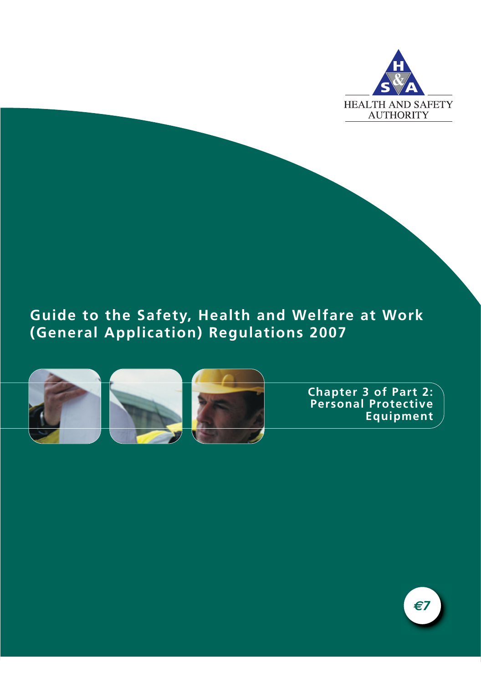

## **Guide to the Safety, Health and Welfare at Work (General Application) Regulations 2007**



**Chapter 3 of Part 2: Personal Protective Equipment**

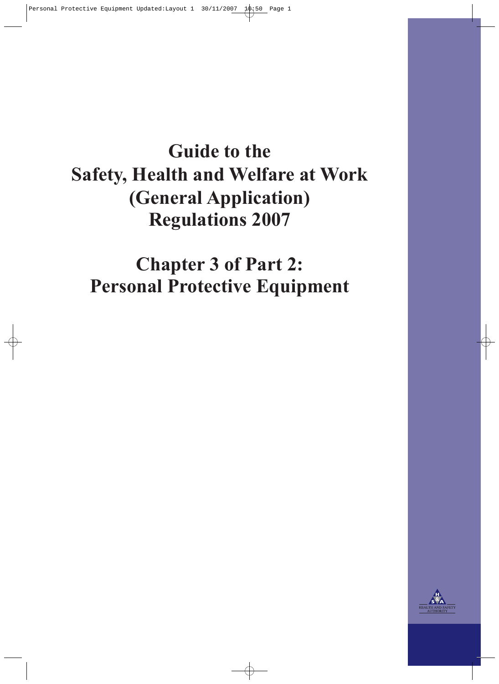# **Guide to the Safety, Health and Welfare at Work (General Application) Regulations 2007**

**Chapter 3 of Part 2: Personal Protective Equipment**

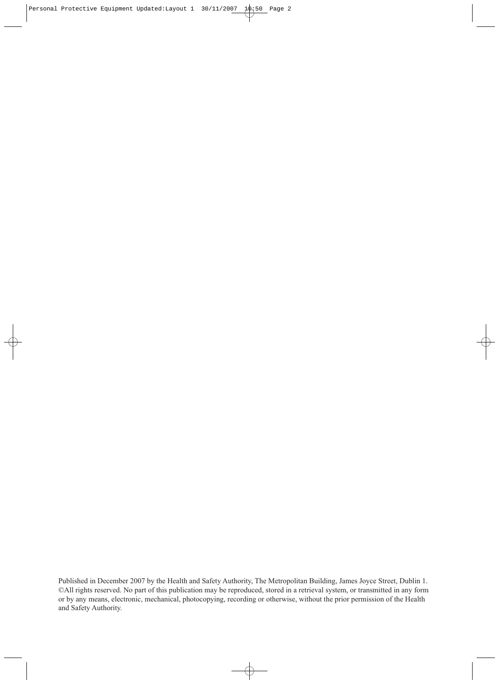Published in December 2007 by the Health and Safety Authority, The Metropolitan Building, James Joyce Street, Dublin 1. ©All rights reserved. No part of this publication may be reproduced, stored in a retrieval system, or transmitted in any form or by any means, electronic, mechanical, photocopying, recording or otherwise, without the prior permission of the Health and Safety Authority.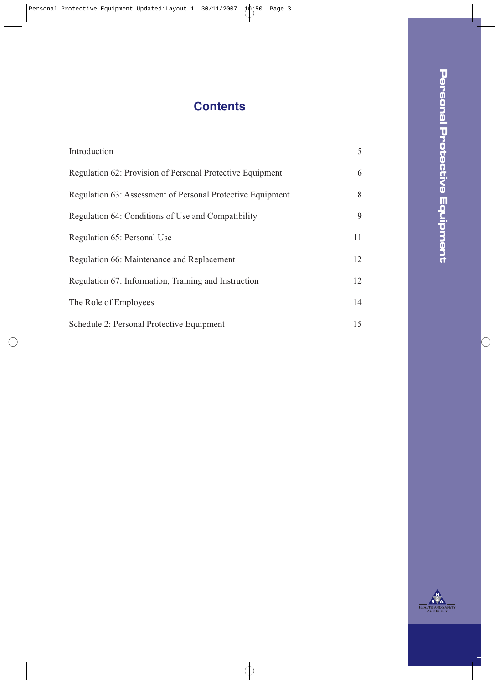## **Contents**

| Introduction                                               | 5  |
|------------------------------------------------------------|----|
| Regulation 62: Provision of Personal Protective Equipment  | 6  |
| Regulation 63: Assessment of Personal Protective Equipment | 8  |
| Regulation 64: Conditions of Use and Compatibility         | 9  |
| Regulation 65: Personal Use                                | 11 |
| Regulation 66: Maintenance and Replacement                 | 12 |
| Regulation 67: Information, Training and Instruction       | 12 |
| The Role of Employees                                      | 14 |
| Schedule 2: Personal Protective Equipment                  | 15 |



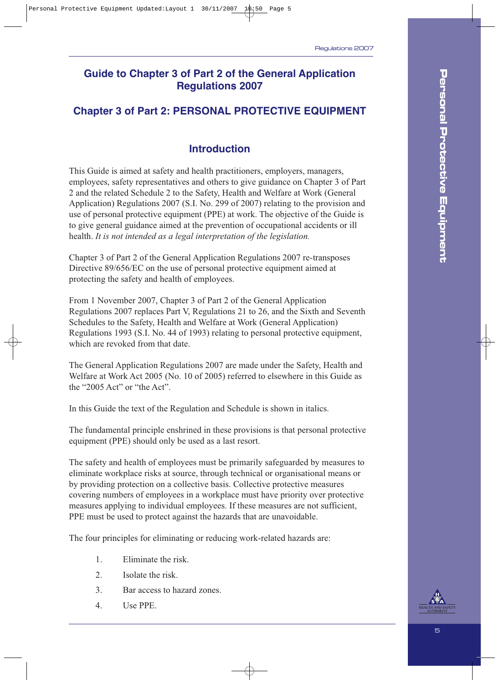## **Guide to Chapter 3 of Part 2 of the General Application Regulations 2007**

## **Chapter 3 of Part 2: PERSONAL PROTECTIVE EQUIPMENT**

## **Introduction**

This Guide is aimed at safety and health practitioners, employers, managers, employees, safety representatives and others to give guidance on Chapter 3 of Part 2 and the related Schedule 2 to the Safety, Health and Welfare at Work (General Application) Regulations 2007 (S.I. No. 299 of 2007) relating to the provision and use of personal protective equipment (PPE) at work. The objective of the Guide is to give general guidance aimed at the prevention of occupational accidents or ill health. *It is not intended as a legal interpretation of the legislation.*

Chapter 3 of Part 2 of the General Application Regulations 2007 re-transposes Directive 89/656/EC on the use of personal protective equipment aimed at protecting the safety and health of employees.

From 1 November 2007, Chapter 3 of Part 2 of the General Application Regulations 2007 replaces Part V, Regulations 21 to 26, and the Sixth and Seventh Schedules to the Safety, Health and Welfare at Work (General Application) Regulations 1993 (S.I. No. 44 of 1993) relating to personal protective equipment, which are revoked from that date.

The General Application Regulations 2007 are made under the Safety, Health and Welfare at Work Act 2005 (No. 10 of 2005) referred to elsewhere in this Guide as the "2005 Act" or "the Act".

In this Guide the text of the Regulation and Schedule is shown in italics.

The fundamental principle enshrined in these provisions is that personal protective equipment (PPE) should only be used as a last resort.

The safety and health of employees must be primarily safeguarded by measures to eliminate workplace risks at source, through technical or organisational means or by providing protection on a collective basis. Collective protective measures covering numbers of employees in a workplace must have priority over protective measures applying to individual employees. If these measures are not sufficient, PPE must be used to protect against the hazards that are unavoidable.

The four principles for eliminating or reducing work-related hazards are:

- 1. Eliminate the risk.
- 2. Isolate the risk.
- 3. Bar access to hazard zones.
- 4. Use PPE.

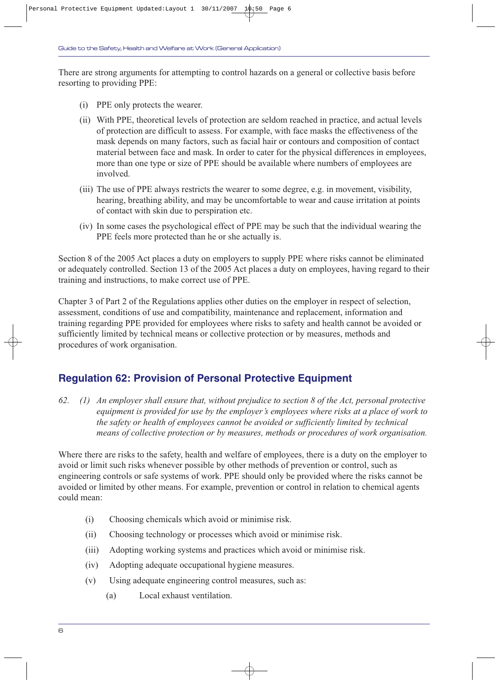There are strong arguments for attempting to control hazards on a general or collective basis before resorting to providing PPE:

- (i) PPE only protects the wearer.
- (ii) With PPE, theoretical levels of protection are seldom reached in practice, and actual levels of protection are difficult to assess. For example, with face masks the effectiveness of the mask depends on many factors, such as facial hair or contours and composition of contact material between face and mask. In order to cater for the physical differences in employees, more than one type or size of PPE should be available where numbers of employees are involved.
- (iii) The use of PPE always restricts the wearer to some degree, e.g. in movement, visibility, hearing, breathing ability, and may be uncomfortable to wear and cause irritation at points of contact with skin due to perspiration etc.
- (iv) In some cases the psychological effect of PPE may be such that the individual wearing the PPE feels more protected than he or she actually is.

Section 8 of the 2005 Act places a duty on employers to supply PPE where risks cannot be eliminated or adequately controlled. Section 13 of the 2005 Act places a duty on employees, having regard to their training and instructions, to make correct use of PPE.

Chapter 3 of Part 2 of the Regulations applies other duties on the employer in respect of selection, assessment, conditions of use and compatibility, maintenance and replacement, information and training regarding PPE provided for employees where risks to safety and health cannot be avoided or sufficiently limited by technical means or collective protection or by measures, methods and procedures of work organisation.

## **Regulation 62: Provision of Personal Protective Equipment**

*62. (1) An employer shall ensure that, without prejudice to section 8 of the Act, personal protective equipment is provided for use by the employer's employees where risks at a place of work to the safety or health of employees cannot be avoided or sufficiently limited by technical means of collective protection or by measures, methods or procedures of work organisation.*

Where there are risks to the safety, health and welfare of employees, there is a duty on the employer to avoid or limit such risks whenever possible by other methods of prevention or control, such as engineering controls or safe systems of work. PPE should only be provided where the risks cannot be avoided or limited by other means. For example, prevention or control in relation to chemical agents could mean:

- (i) Choosing chemicals which avoid or minimise risk.
- (ii) Choosing technology or processes which avoid or minimise risk.
- (iii) Adopting working systems and practices which avoid or minimise risk.
- (iv) Adopting adequate occupational hygiene measures.
- (v) Using adequate engineering control measures, such as:
	- (a) Local exhaust ventilation.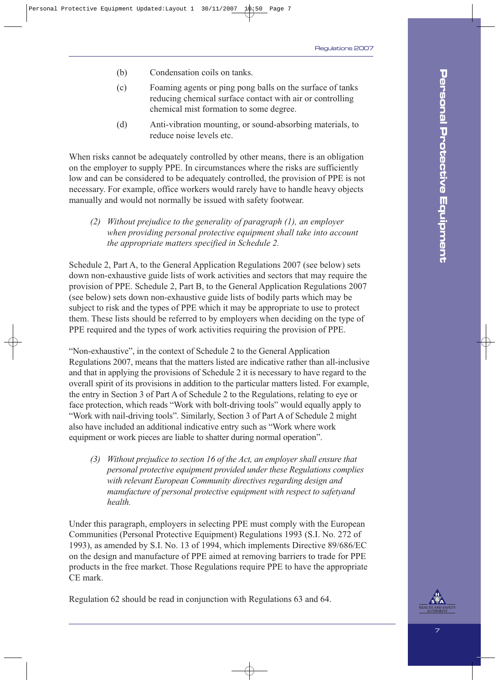- (b) Condensation coils on tanks.
- (c) Foaming agents or ping pong balls on the surface of tanks reducing chemical surface contact with air or controlling chemical mist formation to some degree.
- (d) Anti-vibration mounting, or sound-absorbing materials, to reduce noise levels etc.

When risks cannot be adequately controlled by other means, there is an obligation on the employer to supply PPE. In circumstances where the risks are sufficiently low and can be considered to be adequately controlled, the provision of PPE is not necessary. For example, office workers would rarely have to handle heavy objects manually and would not normally be issued with safety footwear.

*(2) Without prejudice to the generality of paragraph (1), an employer when providing personal protective equipment shall take into account the appropriate matters specified in Schedule 2.*

Schedule 2, Part A, to the General Application Regulations 2007 (see below) sets down non-exhaustive guide lists of work activities and sectors that may require the provision of PPE. Schedule 2, Part B, to the General Application Regulations 2007 (see below) sets down non-exhaustive guide lists of bodily parts which may be subject to risk and the types of PPE which it may be appropriate to use to protect them. These lists should be referred to by employers when deciding on the type of PPE required and the types of work activities requiring the provision of PPE.

"Non-exhaustive", in the context of Schedule 2 to the General Application Regulations 2007, means that the matters listed are indicative rather than all-inclusive and that in applying the provisions of Schedule 2 it is necessary to have regard to the overall spirit of its provisions in addition to the particular matters listed. For example, the entry in Section 3 of Part A of Schedule 2 to the Regulations, relating to eye or face protection, which reads "Work with bolt-driving tools" would equally apply to "Work with nail-driving tools". Similarly, Section 3 of Part A of Schedule 2 might also have included an additional indicative entry such as "Work where work equipment or work pieces are liable to shatter during normal operation".

*(3) Without prejudice to section 16 of the Act, an employer shall ensure that personal protective equipment provided under these Regulations complies with relevant European Community directives regarding design and manufacture of personal protective equipment with respect to safetyand health.*

Under this paragraph, employers in selecting PPE must comply with the European Communities (Personal Protective Equipment) Regulations 1993 (S.I. No. 272 of 1993), as amended by S.I. No. 13 of 1994, which implements Directive 89/686/EC on the design and manufacture of PPE aimed at removing barriers to trade for PPE products in the free market. Those Regulations require PPE to have the appropriate CE mark.

Regulation 62 should be read in conjunction with Regulations 63 and 64.

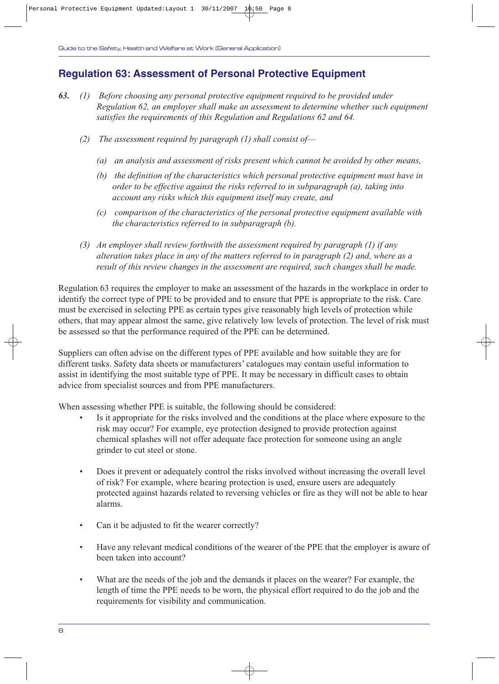## **Regulation 63: Assessment of Personal Protective Equipment**

- *63. (1) Before choosing any personal protective equipment required to be provided under Regulation 62, an employer shall make an assessment to determine whether such equipment satisfies the requirements of this Regulation and Regulations 62 and 64.*
	- *(2) The assessment required by paragraph (1) shall consist of—*
		- *(a) an analysis and assessment of risks present which cannot be avoided by other means,*
		- *(b) the definition of the characteristics which personal protective equipment must have in order to be effective against the risks referred to in subparagraph (a), taking into account any risks which this equipment itself may create, and*
		- *(c) comparison of the characteristics of the personal protective equipment available with the characteristics referred to in subparagraph (b).*
	- *(3) An employer shall review forthwith the assessment required by paragraph (1) if any alteration takes place in any of the matters referred to in paragraph (2) and, where as a result of this review changes in the assessment are required, such changes shall be made.*

Regulation 63 requires the employer to make an assessment of the hazards in the workplace in order to identify the correct type of PPE to be provided and to ensure that PPE is appropriate to the risk. Care must be exercised in selecting PPE as certain types give reasonably high levels of protection while others, that may appear almost the same, give relatively low levels of protection. The level of risk must be assessed so that the performance required of the PPE can be determined.

Suppliers can often advise on the different types of PPE available and how suitable they are for different tasks. Safety data sheets or manufacturers' catalogues may contain useful information to assist in identifying the most suitable type of PPE. It may be necessary in difficult cases to obtain advice from specialist sources and from PPE manufacturers.

When assessing whether PPE is suitable, the following should be considered:

- Is it appropriate for the risks involved and the conditions at the place where exposure to the risk may occur? For example, eye protection designed to provide protection against chemical splashes will not offer adequate face protection for someone using an angle grinder to cut steel or stone.
- Does it prevent or adequately control the risks involved without increasing the overall level of risk? For example, where hearing protection is used, ensure users are adequately protected against hazards related to reversing vehicles or fire as they will not be able to hear alarms.
- Can it be adjusted to fit the wearer correctly?
- Have any relevant medical conditions of the wearer of the PPE that the employer is aware of been taken into account?
- What are the needs of the job and the demands it places on the wearer? For example, the length of time the PPE needs to be worn, the physical effort required to do the job and the requirements for visibility and communication.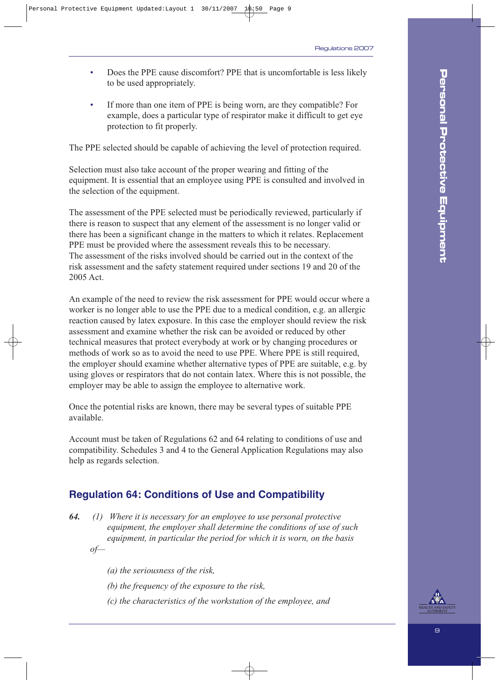- Does the PPE cause discomfort? PPE that is uncomfortable is less likely to be used appropriately.
- If more than one item of PPE is being worn, are they compatible? For example, does a particular type of respirator make it difficult to get eye protection to fit properly.

The PPE selected should be capable of achieving the level of protection required.

Selection must also take account of the proper wearing and fitting of the equipment. It is essential that an employee using PPE is consulted and involved in the selection of the equipment.

The assessment of the PPE selected must be periodically reviewed, particularly if there is reason to suspect that any element of the assessment is no longer valid or there has been a significant change in the matters to which it relates. Replacement PPE must be provided where the assessment reveals this to be necessary. The assessment of the risks involved should be carried out in the context of the risk assessment and the safety statement required under sections 19 and 20 of the 2005 Act.

An example of the need to review the risk assessment for PPE would occur where a worker is no longer able to use the PPE due to a medical condition, e.g. an allergic reaction caused by latex exposure. In this case the employer should review the risk assessment and examine whether the risk can be avoided or reduced by other technical measures that protect everybody at work or by changing procedures or methods of work so as to avoid the need to use PPE. Where PPE is still required, the employer should examine whether alternative types of PPE are suitable, e.g. by using gloves or respirators that do not contain latex. Where this is not possible, the employer may be able to assign the employee to alternative work.

Once the potential risks are known, there may be several types of suitable PPE available.

Account must be taken of Regulations 62 and 64 relating to conditions of use and compatibility. Schedules 3 and 4 to the General Application Regulations may also help as regards selection.

## **Regulation 64: Conditions of Use and Compatibility**

- *64. (1) Where it is necessary for an employee to use personal protective equipment, the employer shall determine the conditions of use of such equipment, in particular the period for which it is worn, on the basis of—*
	- *(a) the seriousness of the risk,*
	- *(b) the frequency of the exposure to the risk,*
	- *(c) the characteristics of the workstation of the employee, and*

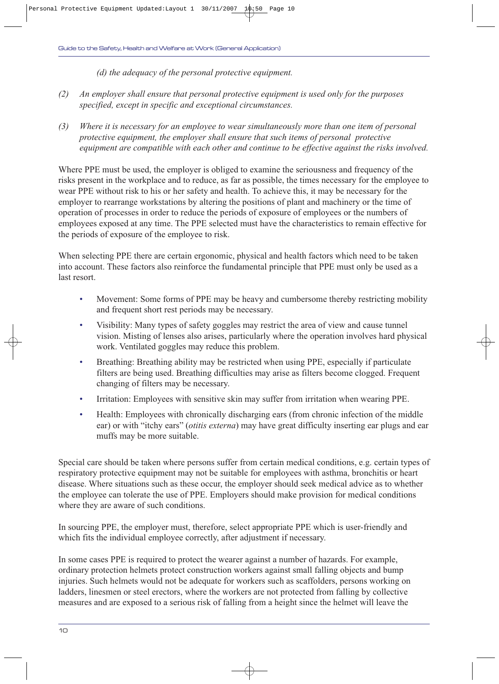*(d) the adequacy of the personal protective equipment.*

- *(2) An employer shall ensure that personal protective equipment is used only for the purposes specified, except in specific and exceptional circumstances.*
- *(3) Where it is necessary for an employee to wear simultaneously more than one item of personal protective equipment, the employer shall ensure that such items of personal protective equipment are compatible with each other and continue to be effective against the risks involved.*

Where PPE must be used, the employer is obliged to examine the seriousness and frequency of the risks present in the workplace and to reduce, as far as possible, the times necessary for the employee to wear PPE without risk to his or her safety and health. To achieve this, it may be necessary for the employer to rearrange workstations by altering the positions of plant and machinery or the time of operation of processes in order to reduce the periods of exposure of employees or the numbers of employees exposed at any time. The PPE selected must have the characteristics to remain effective for the periods of exposure of the employee to risk.

When selecting PPE there are certain ergonomic, physical and health factors which need to be taken into account. These factors also reinforce the fundamental principle that PPE must only be used as a last resort.

- Movement: Some forms of PPE may be heavy and cumbersome thereby restricting mobility and frequent short rest periods may be necessary.
- Visibility: Many types of safety goggles may restrict the area of view and cause tunnel vision. Misting of lenses also arises, particularly where the operation involves hard physical work. Ventilated goggles may reduce this problem.
- Breathing: Breathing ability may be restricted when using PPE, especially if particulate filters are being used. Breathing difficulties may arise as filters become clogged. Frequent changing of filters may be necessary.
- Irritation: Employees with sensitive skin may suffer from irritation when wearing PPE.
- Health: Employees with chronically discharging ears (from chronic infection of the middle ear) or with "itchy ears" (*otitis externa*) may have great difficulty inserting ear plugs and ear muffs may be more suitable.

Special care should be taken where persons suffer from certain medical conditions, e.g. certain types of respiratory protective equipment may not be suitable for employees with asthma, bronchitis or heart disease. Where situations such as these occur, the employer should seek medical advice as to whether the employee can tolerate the use of PPE. Employers should make provision for medical conditions where they are aware of such conditions.

In sourcing PPE, the employer must, therefore, select appropriate PPE which is user-friendly and which fits the individual employee correctly, after adjustment if necessary.

In some cases PPE is required to protect the wearer against a number of hazards. For example, ordinary protection helmets protect construction workers against small falling objects and bump injuries. Such helmets would not be adequate for workers such as scaffolders, persons working on ladders, linesmen or steel erectors, where the workers are not protected from falling by collective measures and are exposed to a serious risk of falling from a height since the helmet will leave the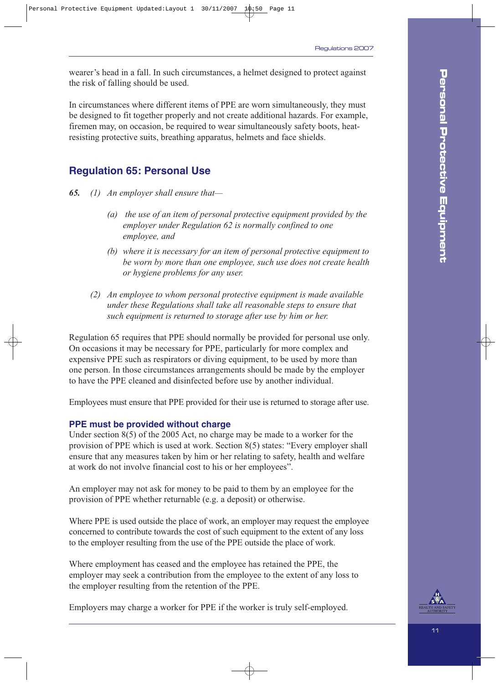wearer's head in a fall. In such circumstances, a helmet designed to protect against the risk of falling should be used.

In circumstances where different items of PPE are worn simultaneously, they must be designed to fit together properly and not create additional hazards. For example, firemen may, on occasion, be required to wear simultaneously safety boots, heatresisting protective suits, breathing apparatus, helmets and face shields.

### **Regulation 65: Personal Use**

- *65. (1) An employer shall ensure that—*
	- *(a) the use of an item of personal protective equipment provided by the employer under Regulation 62 is normally confined to one employee, and*
	- *(b) where it is necessary for an item of personal protective equipment to be worn by more than one employee, such use does not create health or hygiene problems for any user.*
	- *(2) An employee to whom personal protective equipment is made available under these Regulations shall take all reasonable steps to ensure that such equipment is returned to storage after use by him or her.*

Regulation 65 requires that PPE should normally be provided for personal use only. On occasions it may be necessary for PPE, particularly for more complex and expensive PPE such as respirators or diving equipment, to be used by more than one person. In those circumstances arrangements should be made by the employer to have the PPE cleaned and disinfected before use by another individual.

Employees must ensure that PPE provided for their use is returned to storage after use.

#### **PPE must be provided without charge**

Under section 8(5) of the 2005 Act, no charge may be made to a worker for the provision of PPE which is used at work. Section 8(5) states: "Every employer shall ensure that any measures taken by him or her relating to safety, health and welfare at work do not involve financial cost to his or her employees".

An employer may not ask for money to be paid to them by an employee for the provision of PPE whether returnable (e.g. a deposit) or otherwise.

Where PPE is used outside the place of work, an employer may request the employee concerned to contribute towards the cost of such equipment to the extent of any loss to the employer resulting from the use of the PPE outside the place of work.

Where employment has ceased and the employee has retained the PPE, the employer may seek a contribution from the employee to the extent of any loss to the employer resulting from the retention of the PPE.

Employers may charge a worker for PPE if the worker is truly self-employed.

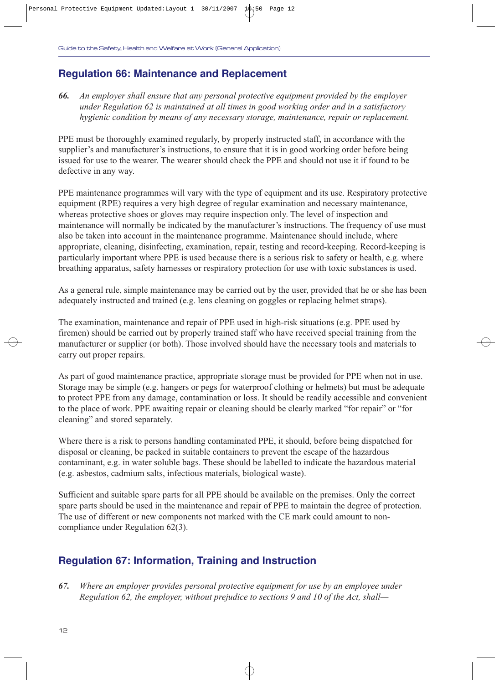## **Regulation 66: Maintenance and Replacement**

*66. An employer shall ensure that any personal protective equipment provided by the employer under Regulation 62 is maintained at all times in good working order and in a satisfactory hygienic condition by means of any necessary storage, maintenance, repair or replacement.*

PPE must be thoroughly examined regularly, by properly instructed staff, in accordance with the supplier's and manufacturer's instructions, to ensure that it is in good working order before being issued for use to the wearer. The wearer should check the PPE and should not use it if found to be defective in any way.

PPE maintenance programmes will vary with the type of equipment and its use. Respiratory protective equipment (RPE) requires a very high degree of regular examination and necessary maintenance, whereas protective shoes or gloves may require inspection only. The level of inspection and maintenance will normally be indicated by the manufacturer's instructions. The frequency of use must also be taken into account in the maintenance programme. Maintenance should include, where appropriate, cleaning, disinfecting, examination, repair, testing and record-keeping. Record-keeping is particularly important where PPE is used because there is a serious risk to safety or health, e.g. where breathing apparatus, safety harnesses or respiratory protection for use with toxic substances is used.

As a general rule, simple maintenance may be carried out by the user, provided that he or she has been adequately instructed and trained (e.g. lens cleaning on goggles or replacing helmet straps).

The examination, maintenance and repair of PPE used in high-risk situations (e.g. PPE used by firemen) should be carried out by properly trained staff who have received special training from the manufacturer or supplier (or both). Those involved should have the necessary tools and materials to carry out proper repairs.

As part of good maintenance practice, appropriate storage must be provided for PPE when not in use. Storage may be simple (e.g. hangers or pegs for waterproof clothing or helmets) but must be adequate to protect PPE from any damage, contamination or loss. It should be readily accessible and convenient to the place of work. PPE awaiting repair or cleaning should be clearly marked "for repair" or "for cleaning" and stored separately.

Where there is a risk to persons handling contaminated PPE, it should, before being dispatched for disposal or cleaning, be packed in suitable containers to prevent the escape of the hazardous contaminant, e.g. in water soluble bags. These should be labelled to indicate the hazardous material (e.g. asbestos, cadmium salts, infectious materials, biological waste).

Sufficient and suitable spare parts for all PPE should be available on the premises. Only the correct spare parts should be used in the maintenance and repair of PPE to maintain the degree of protection. The use of different or new components not marked with the CE mark could amount to noncompliance under Regulation 62(3).

## **Regulation 67: Information, Training and Instruction**

*67. Where an employer provides personal protective equipment for use by an employee under Regulation 62, the employer, without prejudice to sections 9 and 10 of the Act, shall—*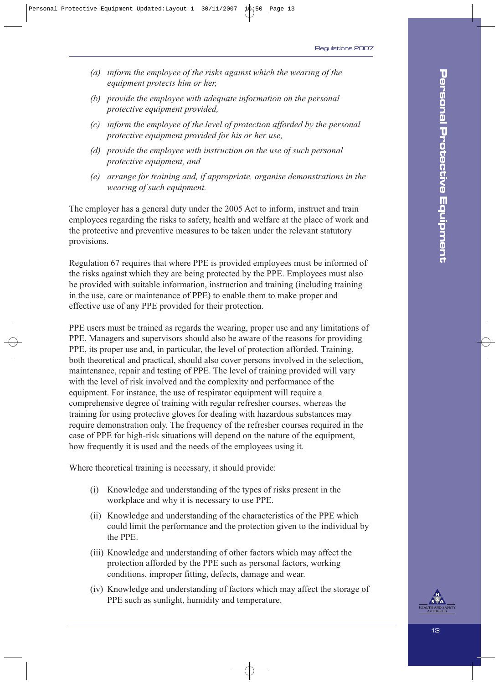- *(a) inform the employee of the risks against which the wearing of the equipment protects him or her,*
- *(b) provide the employee with adequate information on the personal protective equipment provided,*
- *(c) inform the employee of the level of protection afforded by the personal protective equipment provided for his or her use,*
- *(d) provide the employee with instruction on the use of such personal protective equipment, and*
- *(e) arrange for training and, if appropriate, organise demonstrations in the wearing of such equipment.*

The employer has a general duty under the 2005 Act to inform, instruct and train employees regarding the risks to safety, health and welfare at the place of work and the protective and preventive measures to be taken under the relevant statutory provisions.

Regulation 67 requires that where PPE is provided employees must be informed of the risks against which they are being protected by the PPE. Employees must also be provided with suitable information, instruction and training (including training in the use, care or maintenance of PPE) to enable them to make proper and effective use of any PPE provided for their protection.

PPE users must be trained as regards the wearing, proper use and any limitations of PPE. Managers and supervisors should also be aware of the reasons for providing PPE, its proper use and, in particular, the level of protection afforded. Training, both theoretical and practical, should also cover persons involved in the selection, maintenance, repair and testing of PPE. The level of training provided will vary with the level of risk involved and the complexity and performance of the equipment. For instance, the use of respirator equipment will require a comprehensive degree of training with regular refresher courses, whereas the training for using protective gloves for dealing with hazardous substances may require demonstration only. The frequency of the refresher courses required in the case of PPE for high-risk situations will depend on the nature of the equipment, how frequently it is used and the needs of the employees using it.

Where theoretical training is necessary, it should provide:

- (i) Knowledge and understanding of the types of risks present in the workplace and why it is necessary to use PPE.
- (ii) Knowledge and understanding of the characteristics of the PPE which could limit the performance and the protection given to the individual by the PPE.
- (iii) Knowledge and understanding of other factors which may affect the protection afforded by the PPE such as personal factors, working conditions, improper fitting, defects, damage and wear.
- (iv) Knowledge and understanding of factors which may affect the storage of PPE such as sunlight, humidity and temperature.

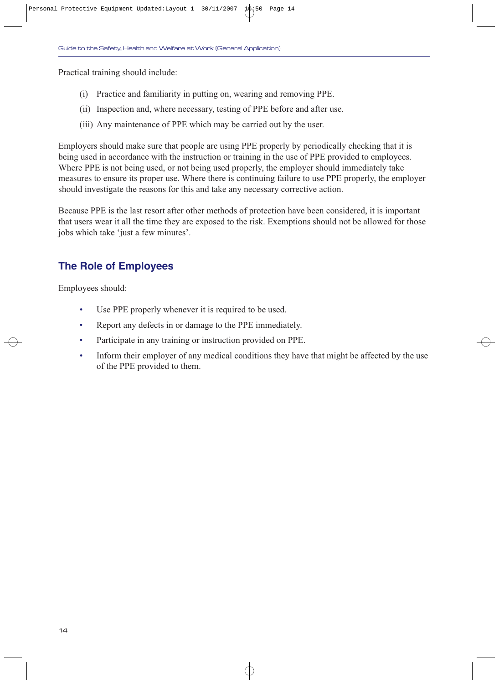Practical training should include:

- (i) Practice and familiarity in putting on, wearing and removing PPE.
- (ii) Inspection and, where necessary, testing of PPE before and after use.
- (iii) Any maintenance of PPE which may be carried out by the user.

Employers should make sure that people are using PPE properly by periodically checking that it is being used in accordance with the instruction or training in the use of PPE provided to employees. Where PPE is not being used, or not being used properly, the employer should immediately take measures to ensure its proper use. Where there is continuing failure to use PPE properly, the employer should investigate the reasons for this and take any necessary corrective action.

Because PPE is the last resort after other methods of protection have been considered, it is important that users wear it all the time they are exposed to the risk. Exemptions should not be allowed for those jobs which take 'just a few minutes'.

## **The Role of Employees**

Employees should:

- Use PPE properly whenever it is required to be used.
- Report any defects in or damage to the PPE immediately.
- Participate in any training or instruction provided on PPE.
- Inform their employer of any medical conditions they have that might be affected by the use of the PPE provided to them.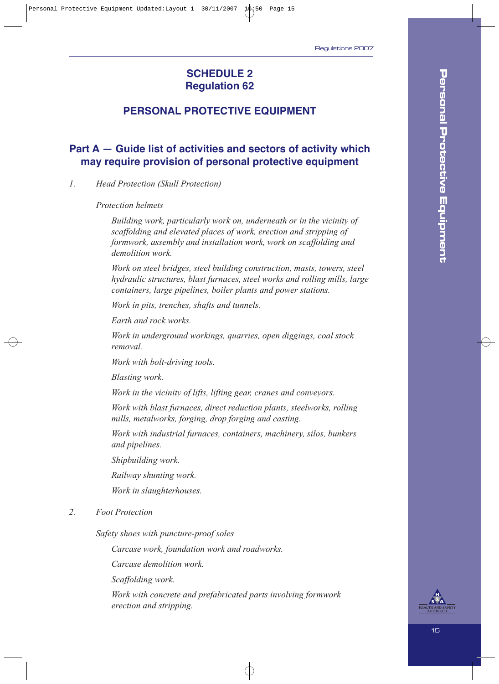### **SCHEDULE 2 Regulation 62**

## **PERSONAL PROTECTIVE EQUIPMENT**

## **Part A — Guide list of activities and sectors of activity which may require provision of personal protective equipment**

*1. Head Protection (Skull Protection)*

*Protection helmets*

*Building work, particularly work on, underneath or in the vicinity of scaffolding and elevated places of work, erection and stripping of formwork, assembly and installation work, work on scaffolding and demolition work.*

*Work on steel bridges, steel building construction, masts, towers, steel hydraulic structures, blast furnaces, steel works and rolling mills, large containers, large pipelines, boiler plants and power stations.*

*Work in pits, trenches, shafts and tunnels.*

*Earth and rock works.*

*Work in underground workings, quarries, open diggings, coal stock removal.*

*Work with bolt-driving tools.*

*Blasting work.*

*Work in the vicinity of lifts, lifting gear, cranes and conveyors.*

*Work with blast furnaces, direct reduction plants, steelworks, rolling mills, metalworks, forging, drop forging and casting.*

*Work with industrial furnaces, containers, machinery, silos, bunkers and pipelines.*

*Shipbuilding work.*

*Railway shunting work.*

*Work in slaughterhouses.*

*2. Foot Protection*

*Safety shoes with puncture-proof soles*

*Carcase work, foundation work and roadworks.*

*Carcase demolition work.*

*Scaffolding work.*

*Work with concrete and prefabricated parts involving formwork erection and stripping.*

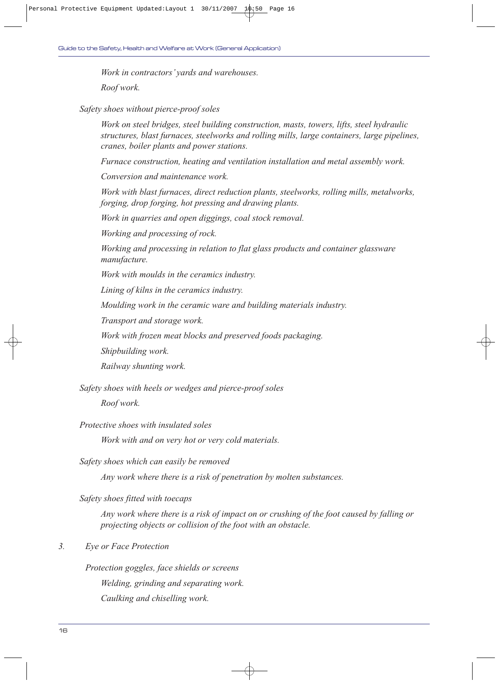*Work in contractors' yards and warehouses.*

*Roof work.*

*Safety shoes without pierce-proof soles*

*Work on steel bridges, steel building construction, masts, towers, lifts, steel hydraulic structures, blast furnaces, steelworks and rolling mills, large containers, large pipelines, cranes, boiler plants and power stations.*

*Furnace construction, heating and ventilation installation and metal assembly work.*

*Conversion and maintenance work.*

*Work with blast furnaces, direct reduction plants, steelworks, rolling mills, metalworks, forging, drop forging, hot pressing and drawing plants.*

*Work in quarries and open diggings, coal stock removal.*

*Working and processing of rock.*

*Working and processing in relation to flat glass products and container glassware manufacture.*

*Work with moulds in the ceramics industry.*

*Lining of kilns in the ceramics industry.*

*Moulding work in the ceramic ware and building materials industry.*

*Transport and storage work.*

*Work with frozen meat blocks and preserved foods packaging.*

*Shipbuilding work.*

*Railway shunting work.*

*Safety shoes with heels or wedges and pierce-proof soles* 

*Roof work.*

*Protective shoes with insulated soles* 

*Work with and on very hot or very cold materials.*

*Safety shoes which can easily be removed* 

*Any work where there is a risk of penetration by molten substances.*

*Safety shoes fitted with toecaps*

*Any work where there is a risk of impact on or crushing of the foot caused by falling or projecting objects or collision of the foot with an obstacle.*

#### *3. Eye or Face Protection*

*Protection goggles, face shields or screens Welding, grinding and separating work. Caulking and chiselling work.*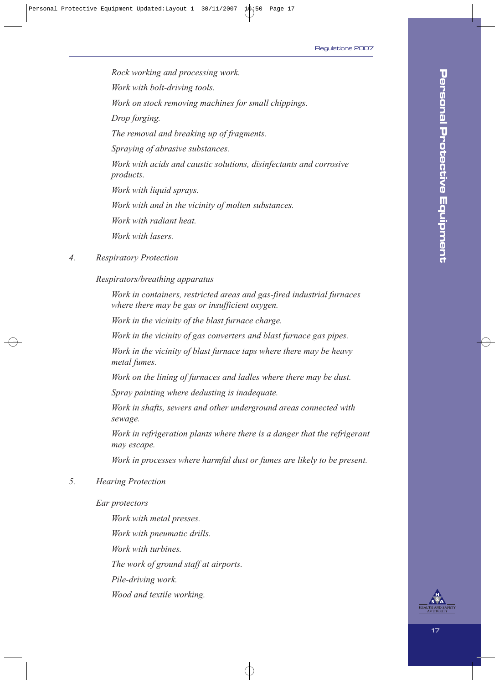*Rock working and processing work. Work with bolt-driving tools. Work on stock removing machines for small chippings. Drop forging. The removal and breaking up of fragments. Spraying of abrasive substances. Work with acids and caustic solutions, disinfectants and corrosive products. Work with liquid sprays. Work with and in the vicinity of molten substances. Work with radiant heat. Work with lasers.*

#### *4. Respiratory Protection*

#### *Respirators/breathing apparatus*

*Work in containers, restricted areas and gas-fired industrial furnaces where there may be gas or insufficient oxygen.*

*Work in the vicinity of the blast furnace charge.*

*Work in the vicinity of gas converters and blast furnace gas pipes.*

*Work in the vicinity of blast furnace taps where there may be heavy metal fumes.*

*Work on the lining of furnaces and ladles where there may be dust.*

*Spray painting where dedusting is inadequate.*

*Work in shafts, sewers and other underground areas connected with sewage.*

*Work in refrigeration plants where there is a danger that the refrigerant may escape.*

*Work in processes where harmful dust or fumes are likely to be present.*

#### *5. Hearing Protection*

#### *Ear protectors*

*Work with metal presses. Work with pneumatic drills. Work with turbines. The work of ground staff at airports. Pile-driving work. Wood and textile working.*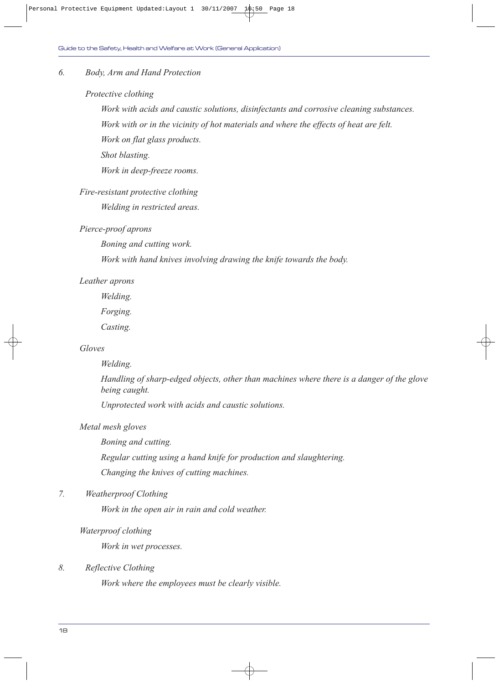#### *6. Body, Arm and Hand Protection*

#### *Protective clothing*

*Work with acids and caustic solutions, disinfectants and corrosive cleaning substances. Work with or in the vicinity of hot materials and where the effects of heat are felt. Work on flat glass products.*

*Shot blasting.*

*Work in deep-freeze rooms.*

#### *Fire-resistant protective clothing*

*Welding in restricted areas.*

#### *Pierce-proof aprons*

*Boning and cutting work.*

*Work with hand knives involving drawing the knife towards the body.*

#### *Leather aprons*

*Welding.*

*Forging.*

*Casting.*

#### *Gloves*

#### *Welding.*

*Handling of sharp-edged objects, other than machines where there is a danger of the glove being caught.*

*Unprotected work with acids and caustic solutions.*

#### *Metal mesh gloves*

*Boning and cutting.*

*Regular cutting using a hand knife for production and slaughtering.*

*Changing the knives of cutting machines.*

#### *7. Weatherproof Clothing*

*Work in the open air in rain and cold weather.*

#### *Waterproof clothing*

*Work in wet processes.*

#### *8. Reflective Clothing*

*Work where the employees must be clearly visible.*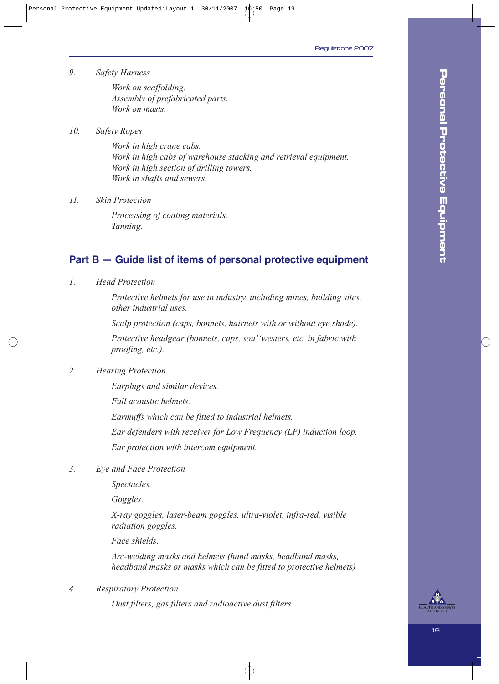*9. Safety Harness*

*Work on scaffolding. Assembly of prefabricated parts. Work on masts.*

*10. Safety Ropes*

*Work in high crane cabs. Work in high cabs of warehouse stacking and retrieval equipment. Work in high section of drilling towers. Work in shafts and sewers.*

*11. Skin Protection*

*Processing of coating materials. Tanning.*

### **Part B — Guide list of items of personal protective equipment**

*1. Head Protection*

*Protective helmets for use in industry, including mines, building sites, other industrial uses.*

*Scalp protection (caps, bonnets, hairnets with or without eye shade).*

*Protective headgear (bonnets, caps, sou''westers, etc. in fabric with proofing, etc.).*

*2. Hearing Protection*

*Earplugs and similar devices.*

*Full acoustic helmets.*

*Earmuffs which can be fitted to industrial helmets.*

*Ear defenders with receiver for Low Frequency (LF) induction loop.*

*Ear protection with intercom equipment.*

*3. Eye and Face Protection* 

*Spectacles.*

*Goggles.*

*X-ray goggles, laser-beam goggles, ultra-violet, infra-red, visible radiation goggles.*

*Face shields.*

*Arc-welding masks and helmets (hand masks, headband masks, headband masks or masks which can be fitted to protective helmets)*

*4. Respiratory Protection* 

*Dust filters, gas filters and radioactive dust filters.*

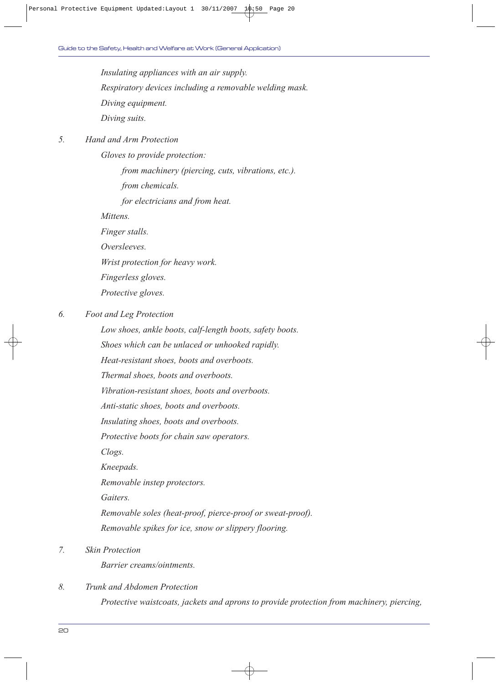*Insulating appliances with an air supply. Respiratory devices including a removable welding mask. Diving equipment. Diving suits.*

#### *5. Hand and Arm Protection*

*Gloves to provide protection:* 

*from machinery (piercing, cuts, vibrations, etc.).*

*from chemicals.*

*for electricians and from heat.*

*Mittens.*

*Finger stalls.*

*Oversleeves.*

*Wrist protection for heavy work.*

*Fingerless gloves.*

*Protective gloves.*

*6. Foot and Leg Protection* 

*Low shoes, ankle boots, calf-length boots, safety boots.*

*Shoes which can be unlaced or unhooked rapidly.*

*Heat-resistant shoes, boots and overboots.*

*Thermal shoes, boots and overboots.*

*Vibration-resistant shoes, boots and overboots.*

*Anti-static shoes, boots and overboots.*

*Insulating shoes, boots and overboots.*

*Protective boots for chain saw operators.*

*Clogs.*

*Kneepads.*

*Removable instep protectors.*

*Gaiters.*

*Removable soles (heat-proof, pierce-proof or sweat-proof). Removable spikes for ice, snow or slippery flooring.*

*7. Skin Protection* 

*Barrier creams/ointments.*

*8. Trunk and Abdomen Protection*

*Protective waistcoats, jackets and aprons to provide protection from machinery, piercing,*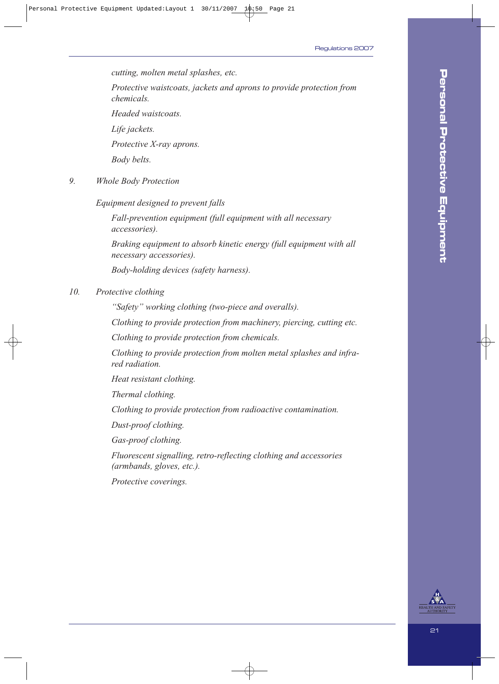*cutting, molten metal splashes, etc.*

*Protective waistcoats, jackets and aprons to provide protection from chemicals.*

*Headed waistcoats.*

*Life jackets.*

*Protective X-ray aprons.*

*Body belts.*

*9. Whole Body Protection*

*Equipment designed to prevent falls* 

*Fall-prevention equipment (full equipment with all necessary accessories).*

*Braking equipment to absorb kinetic energy (full equipment with all necessary accessories).*

*Body-holding devices (safety harness).*

#### *10. Protective clothing*

*"Safety" working clothing (two-piece and overalls).*

*Clothing to provide protection from machinery, piercing, cutting etc.*

*Clothing to provide protection from chemicals.*

*Clothing to provide protection from molten metal splashes and infrared radiation.*

*Heat resistant clothing.*

*Thermal clothing.*

*Clothing to provide protection from radioactive contamination.*

*Dust-proof clothing.*

*Gas-proof clothing.*

*Fluorescent signalling, retro-reflecting clothing and accessories (armbands, gloves, etc.).*

*Protective coverings.*

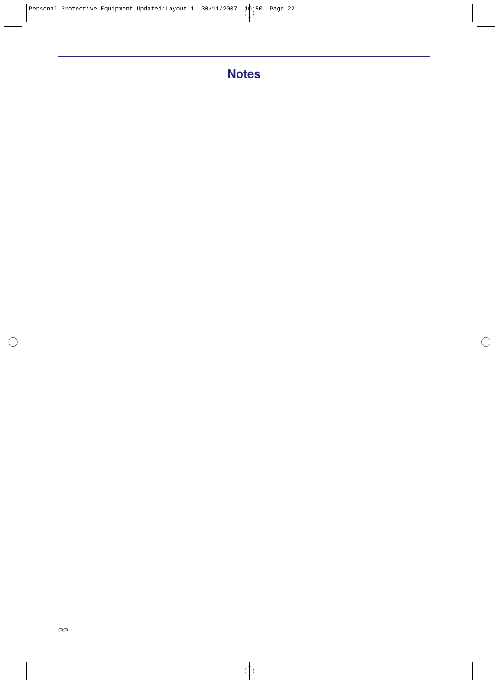## **Notes**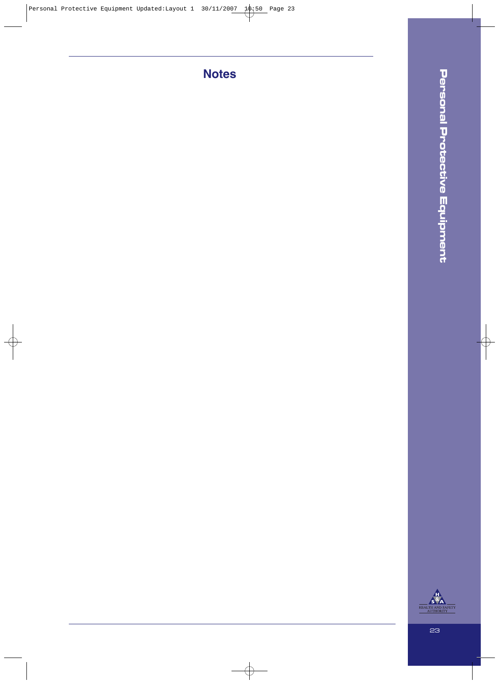**Notes**

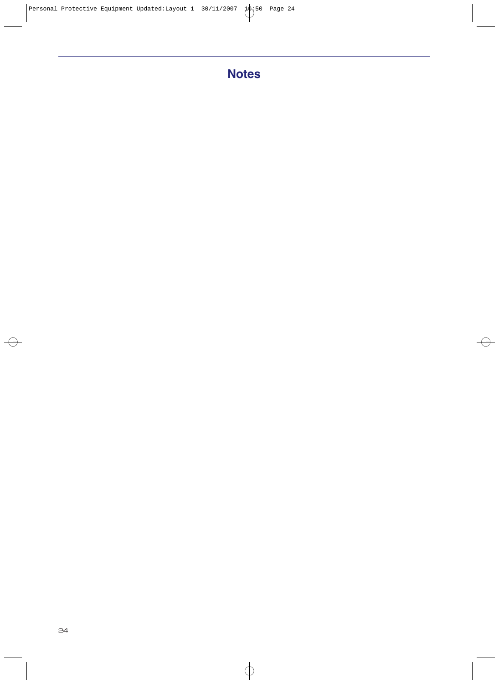## **Notes**